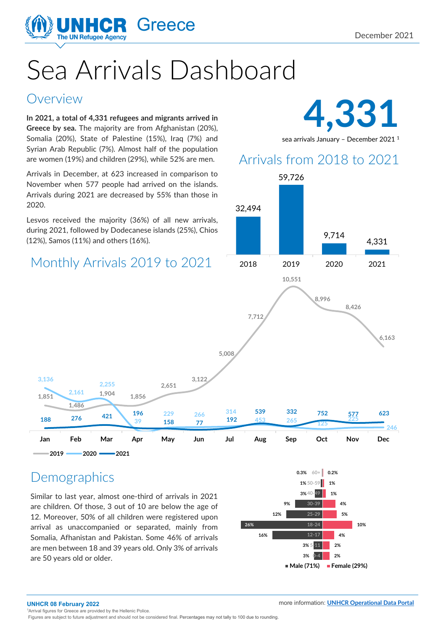

# Sea Arrivals Dashboard

#### Overview

**In 2021, a total of 4,331 refugees and migrants arrived in Greece by sea.** The majority are from Afghanistan (20%), Somalia (20%), State of Palestine (15%), Iraq (7%) and Syrian Arab Republic (7%). Almost half of the population are women (19%) and children (29%), while 52% are men.

Arrivals in December, at 623 increased in comparison to November when 577 people had arrived on the islands. Arrivals during 2021 are decreased by 55% than those in 2020.

Lesvos received the majority (36%) of all new arrivals, during 2021, followed by Dodecanese islands (25%), Chios (12%), Samos (11%) and others (16%).

## Monthly Arrivals 2019 to 2021



sea arrivals January - December 2021<sup>1</sup>

## Arrivals from 2018 to 2021



#### **Demographics**

**2019 2020 2021**

**1,486** 

**2,161** 

**2,255** 

**1,851** 

**3,136** 

Similar to last year, almost one-third of arrivals in 2021 are children. Of those, 3 out of 10 are below the age of 12. Moreover, 50% of all children were registered upon arrival as unaccompanied or separated, mainly from Somalia, Afhanistan and Pakistan. Some 46% of arrivals are men between 18 and 39 years old. Only 3% of arrivals are 50 years old or older. **2%** and 2% are 50 years old or older.